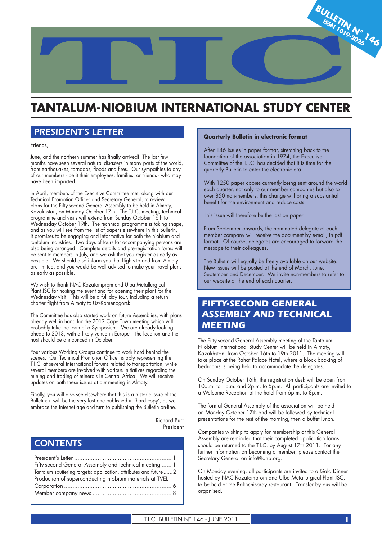

# **TANTALUM-NIOBIUM INTERNATIONAL STUDY CENTER**

## *PRESIDENT'S LETTER*

Friends,

June, and the northern summer has finally arrived! The last few months have seen several natural disasters in many parts of the world, from earthquakes, tornados, floods and fires. Our sympathies to any of our members - be it their employees, families, or friends - who may have been impacted.

In April, members of the Executive Committee met, along with our Technical Promotion Officer and Secretary General, to review plans for the Fifty-second General Assembly to be held in Almaty, Kazakhstan, on Monday October 17th. The T.I.C. meeting, technical programme and visits will extend from Sunday October 16th to Wednesday October 19th. The technical programme is taking shape, and as you will see from the list of papers elsewhere in this Bulletin, it promises to be engaging and informative for both the niobium and tantalum industries. Two days of tours for accompanying persons are also being arranged. Complete details and pre-registration forms will be sent to members in July, and we ask that you register as early as possible. We should also inform you that flights to and from Almaty are limited, and you would be well advised to make your travel plans as early as possible.

We wish to thank NAC Kazatomprom and Ulba Metallurgical Plant JSC for hosting the event and for opening their plant for the Wednesday visit. This will be a full day tour, including a return charter flight from Almaty to Ust-Kamenogorsk.

The Committee has also started work on future Assemblies, with plans already well in hand for the 2012 Cape Town meeting which will probably take the form of a Symposium. We are already looking ahead to 2013, with a likely venue in Europe – the location and the host should be announced in October.

Your various Working Groups continue to work hard behind the scenes. Our Technical Promotion Officer is ably representing the T.I.C. at several international forums related to transportation, while several members are involved with various initiatives regarding the mining and trading of minerals in Central Africa. We will receive updates on both these issues at our meeting in Almaty.

Finally, you will also see elsewhere that this is a historic issue of the Bulletin: it will be the very last one published in 'hard copy', as we embrace the internet age and turn to publishing the Bulletin on-line.

> Richard Burt President

## *CONTENTS*

| Fifty-second General Assembly and technical meeting  1           |
|------------------------------------------------------------------|
| Tantalum sputtering targets: application, attributes and future2 |
| Production of superconducting niobium materials at TVEL          |
|                                                                  |
|                                                                  |

## **Quarterly Bulletin in electronic format**

After 146 issues in paper format, stretching back to the foundation of the association in 1974, the Executive Committee of the T.I.C. has decided that it is time for the quarterly Bulletin to enter the electronic era.

With 1250 paper copies currently being sent around the world each quarter, not only to our member companies but also to over 850 non-members, this change will bring a substantial benefit for the environment and reduce costs.

This issue will therefore be the last on paper.

From September onwards, the nominated delegate of each member company will receive the document by e-mail, in pdf format. Of course, delegates are encouraged to forward the message to their colleagues.

The Bulletin will equally be freely available on our website. New issues will be posted at the end of March, June, September and December. We invite non-members to refer to our website at the end of each quarter.

## *FIFTY-SECOND GENERAL ASSEMBLY AND TECHNICAL MEETING*

*AA* Niobium International Study Center will be held in Almaty, The Fifty-second General Assembly meeting of the Tantalum-Kazakhstan, from October 16th to 19th 2011. The meeting will take place at the Rahat Palace Hotel, where a block booking of bedrooms is being held to accommodate the delegates.

On Sunday October 16th, the registration desk will be open from 10a.m. to 1p.m. and 2p.m. to 5p.m. All participants are invited to a Welcome Reception at the hotel from 6p.m. to 8p.m.

The formal General Assembly of the association will be held on Monday October 17th and will be followed by technical presentations for the rest of the morning, then a buffet lunch.

Companies wishing to apply for membership at this General Assembly are reminded that their completed application forms should be returned to the T.I.C. by August 17th 2011. For any further information on becoming a member, please contact the Secretary General on info@tanb.org.

On Monday evening, all participants are invited to a Gala Dinner hosted by NAC Kazatomprom and Ulba Metallurgical Plant JSC, to be held at the Bakhchisaray restaurant. Transfer by bus will be organised.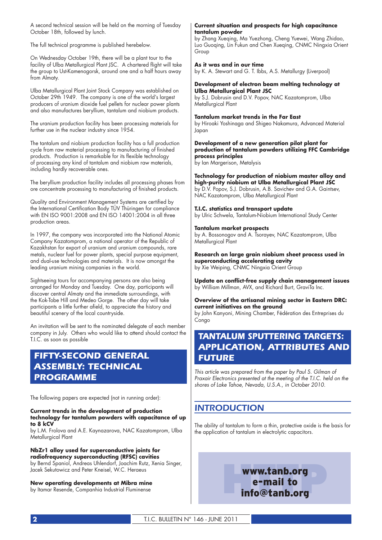A second technical session will be held on the morning of Tuesday October 18th, followed by lunch.

The full technical programme is published herebelow.

On Wednesday October 19th, there will be a plant tour to the tacility of Ulba Metallurgical Plant JSC. A chartered flight will take the group to Ust-Kamenogorsk, around one and a half hours away from Almaty.

Ulba Metallurgical Plant Joint Stock Company was established on October 29th 1949. The company is one of the world's largest producers of uranium dioxide fuel pellets for nuclear power plants and also manufactures beryllium, tantalum and niobium products.

The uranium production facility has been processing materials for further use in the nuclear industry since 1954.

The tantalum and niobium production facility has a full production cycle from raw material processing to manufacturing of finished products. Production is remarkable for its flexible technology of processing any kind of tantalum and niobium raw materials, including hardly recoverable ones.

The beryllium production facility includes all processing phases from ore concentrate processing to manufacturing of finished products.

Quality and Environment Management Systems are certified by the International Certification Body TÜV Thüringen for compliance with EN ISO 9001:2008 and EN ISO 14001:2004 in all three production areas.

In 1997, the company was incorporated into the National Atomic Company Kazatomprom, a national operator of the Republic of Kazakhstan for export of uranium and uranium compounds, rare metals, nuclear fuel for power plants, special purpose equipment, and dual-use technologies and materials. It is now amongst the leading uranium mining companies in the world.

Sightseeing tours for accompanying persons are also being arranged for Monday and Tuesday. One day, participants will discover central Almaty and the immediate surroundings, with the Kok-Tobe Hill and Medeo Gorge. The other day will take participants a little further afield, to appreciate the history and beautiful scenery of the local countryside.

An invitation will be sent to the nominated delegate of each member company in July. Others who would like to attend should contact the T.I.C. as soon as possible

# *FIFTY-SECOND GENERAL ASSEMBLY: TECHNICAL PROGRAMME*

The following papers are expected (not in running order):

#### **Current trends in the development of production technology for tantalum powders with capacitance of up to 8 kCV**

by L.M. Frolova and A.E. Kaynazarova, NAC Kazatomprom, Ulba Metallurgical Plant

#### **NbZr1 alloy used for superconductive joints for radiofrequency superconducting (RFSC) cavities**

by Bernd Spaniol, Andreas Uhlendorf, Joachim Rutz, Xenia Singer, Jacek Sekutowicz and Peter Kneisel, W.C. Heraeus

#### **New operating developments at Mibra mine** by Itamar Resende, Companhia Industrial Fluminense

## **Current situation and prospects for high capacitance tantalum powder**

by Zhang Xueqing, Ma Yuezhong, Cheng Yuewei, Wang Zhidao, Luo Guoqing, Lin Fukun and Chen Xueqing, CNMC Ningxia Orient Group

#### **As it was and in our time** by K. A. Stewart and G. T. Ibbs, A.S. Metallurgy (Liverpool)

## **Development of electron beam melting technology at Ulba Metallurgical Plant JSC**

by S.J. Dobrusin and D.V. Popov, NAC Kazatomprom, Ulba Metallurgical Plant

## **Tantalum market trends in the Far East**

by Hiroaki Yoshinaga and Shigeo Nakamura, Advanced Material Japan

## **Development of a new generation pilot plant for production of tantalum powders utilizing FFC Cambridge process principles**

by Ian Margerison, Metalysis

#### **Technology for production of niobium master alloy and high-purity niobium at Ulba Metallurgical Plant JSC**

by D.V. Popov, S.J. Dobrusin, A.B. Savichev and G.A. Gaintsev, NAC Kazatomprom, Ulba Metallurgical Plant

## **T.I.C. statistics and transport update**

by Ulric Schwela, Tantalum-Niobium International Study Center

## **Tantalum market prospects**

by A. Bossonogov and A. Tsorayev, NAC Kazatomprom, Ulba Metallurgical Plant

## **Research on large grain niobium sheet process used in superconducting accelerating cavity**

by Xie Weiping, CNMC Ningxia Orient Group

Update on conflict-free supply chain management issues by William Millman, AVX, and Richard Burt, GraviTa Inc.

#### **Overview of the artisanal mining sector in Eastern DRC: current initiatives on the ground**

by John Kanyoni, Mining Chamber, Fédération des Entreprises du Congo

# *TANTALUM SPUTTERING TARGETS: APPLICATION, ATTRIBUTES AND FUTURE*

This article was prepared from the paper by Paul S. Gilman of Praxair Electronics presented at the meeting of the T.I.C. held on the shores of Lake Tahoe, Nevada, U.S.A., in October 2010.

## *INTRODUCTION*

The ability of tantalum to form a thin, protective oxide is the basis for the application of tantalum in electrolytic capacitors.

# **HTTPP** www.tanb.org<br>
e-mail to<br>
info@tanb.org e-mail to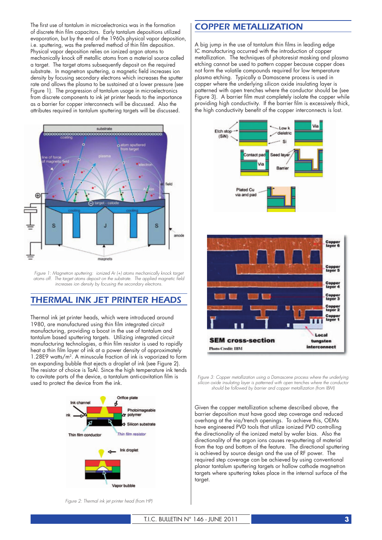The first use of tantalum in microelectronics was in the formation of discrete thin film capacitors. Early tantalum depositions utilized evaporation, but by the end of the 1960s physical vapor deposition, i.e. sputtering, was the preferred method of thin film deposition. Physical vapor deposition relies on ionized argon atoms to mechanically knock off metallic atoms from a material source called a target. The target atoms subsequently deposit on the required substrate. In magnetron sputtering, a magnetic field increases ion density by focusing secondary electrons which increases the sputter rate and allows the plasma to be sustained at a lower pressure (see Figure 1). The progression of tantalum usage in microelectronics from discrete components to ink jet printer heads to the importance as a barrier for copper interconnects will be discussed. Also the attributes required in tantalum sputtering targets will be discussed.



*Figure 1: Magnetron sputtering: ionized Ar (+) atoms mechanically knock target* atoms off. The target atoms deposit on the substrate. The applied magnetic field *increases ion density by focusing the secondary electrons.*

## *THERMAL INK JET PRINTER HEADS*

Thermal ink jet printer heads, which were introduced around 1980, are manufactured using thin film integrated circuit manufacturing, providing a boost in the use of tantalum and tantalum based sputtering targets. Utilizing integrated circuit manufacturing technologies, a thin film resistor is used to rapidly heat a thin film layer of ink at a power density of approximately 1.28E9 watts/m2. A minuscule fraction of ink is vaporized to form an expanding bubble that ejects a droplet of ink (see Figure 2). The resistor of choice is TaAl. Since the high temperature ink tends to cavitate parts of the device, a tantalum anti-cavitation film is used to protect the device from the ink.



## *COPPER METALLIZATION*

A big jump in the use of tantalum thin films in leading edge IC manufacturing occurred with the introduction of copper metallization. The techniques of photoresist masking and plasma etching cannot be used to pattern copper because copper does not form the volatile compounds required for low temperature plasma etching. Typically a Damascene process is used in copper where the underlying silicon oxide insulating layer is patterned with open trenches where the conductor should be (see Figure 3). A barrier film must completely isolate the copper while providing high conductivity. If the barrier film is excessively thick, the high conductivity benefit of the copper interconnects is lost.





Figure 3: Copper metallization using a Damascene process where the underlying *silicon oxide insulating layer is patterned with open trenches where the conductor should be followed by barrier and copper metallization (from IBM)*

Given the copper metallization scheme described above, the barrier deposition must have good step coverage and reduced overhang at the via/trench openings. To achieve this, OEMs have engineered PVD tools that utilize ionized PVD controlling the directionality of the ionized metal by wafer bias. Also the directionality of the argon ions causes re-sputtering of material from the top and bottom of the feature. The directional sputtering is achieved by source design and the use of RF power. The required step coverage can be achieved by using conventional planar tantalum sputtering targets or hallow cathode magnetron targets where sputtering takes place in the internal surface of the target.

*Figure 2: Thermal ink jet printer head (from HP)*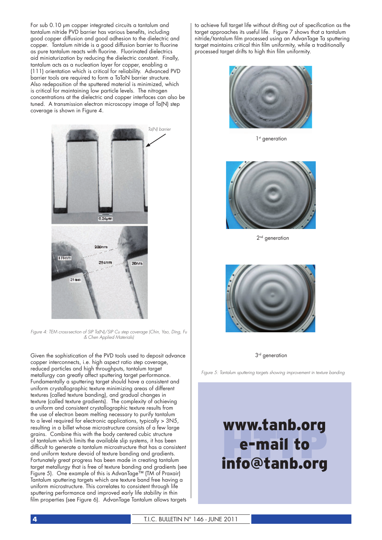For sub 0.10 µm copper integrated circuits a tantalum and tantalum nitride PVD barrier has various benefits, including good copper diffusion and good adhesion to the dielectric and copper. Tantalum nitride is a good diffusion barrier to fluorine as pure tantalum reacts with fluorine. Fluorinated dielectrics aid miniaturization by reducing the dielectric constant. Finally, tantalum acts as a nucleation layer for copper, enabling a (111) orientation which is critical for reliability. Advanced PVD barrier tools are required to form a TaTaN barrier structure. Also redeposition of the sputtered material is minimized, which is critical for maintaining low particle levels. The nitrogen concentrations at the dielectric and copper interfaces can also be tuned. A transmission electron microscopy image of Ta(N) step coverage is shown in Figure 4.



*Figure 4: TEM cross-section of SIP Ta(N)/SIP Cu step coverage (Chin, Yao, Ding, Fu & Chen Applied Materials)*

Given the sophistication of the PVD tools used to deposit advance copper interconnects, i.e. high aspect ratio step coverage, reduced particles and high throughputs, tantalum target metallurgy can greatly affect sputtering target performance. Fundamentally a sputtering target should have a consistent and uniform crystallographic texture minimizing areas of different textures (called texture banding), and gradual changes in texture (called texture gradients). The complexity of achieving a uniform and consistent crystallographic texture results from the use of electron beam melting necessary to purify tantalum to a level required for electronic applications, typically > 3N5, resulting in a billet whose microstructure consists of a few large grains. Combine this with the body centered cubic structure of tantalum which limits the available slip systems, it has been difficult to generate a tantalum microstructure that has a consistent and uniform texture devoid of texture banding and gradients. Fortunately great progress has been made in creating tantalum target metallurgy that is free of texture banding and gradients (see Figure 5). One example of this is AdvanTage™ (TM of Praxair) Tantalum sputtering targets which are texture band free having a uniform microstructure. This correlates to consistent through life sputtering performance and improved early life stability in thin film properties (see Figure 6). AdvanTage Tantalum allows targets

to achieve full target life without drifting out of specification as the target approaches its useful life. Figure 7 shows that a tantalum nitride/tantalum film processed using an AdvanTage Ta sputtering target maintains critical thin film uniformity, while a traditionally processed target drifts to high thin film uniformity.



1<sup>st</sup> generation



2<sup>nd</sup> generation



 $3<sup>rd</sup>$  generation

*Figure 5: Tantalum sputtering targets showing improvement in texture banding*

# **HTTP** www.tanb.org e-mail to info@tanb.org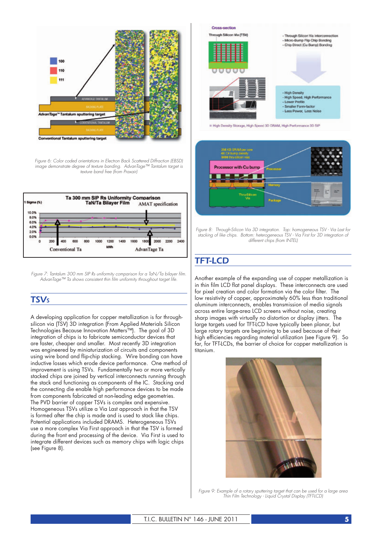

*Figure 6: Color coded orientations in Electron Back Scattered Diffraction (EBSD) image demonstrate degree of texture banding. AdvanTage™ Tantalum target is texture band free (from Praxair)*



*Figure 7: Tantalum 300 mm SIP Rs uniformity comparison for a TaN/Ta bilayer film. AdvanTage™ Ta shows consistent thin fi lm uniformity throughout target life.*

## *TSVS*

A developing application for copper metallization is for throughsilicon via (TSV) 3D integration (From Applied Materials Silicon Technologies Because Innovation Matters™). The goal of 3D integration of chips is to fabricate semiconductor devices that are faster, cheaper and smaller. Most recently 3D integration was engineered by miniaturization of circuits and components using wire bond and flip-chip stacking. Wire bonding can have inductive losses which erode device performance. One method of improvement is using TSVs. Fundamentally two or more vertically stacked chips are joined by vertical interconnects running through the stack and functioning as components of the IC. Stacking and the connecting die enable high performance devices to be made from components fabricated at non-leading edge geometries. The PVD barrier of copper TSVs is complex and expensive. Homogeneous TSVs utilize a Via Last approach in that the TSV is formed after the chip is made and is used to stack like chips. Potential applications included DRAMS. Heterogeneous TSVs use a more complex Via First approach in that the TSV is formed during the front end processing of the device. Via First is used to integrate different devices such as memory chips with logic chips (see Figure 8).



High Density Storage, High Speed 3D DRAM, High Performance 3D SIP



*Figure 8: Through-Silicon Via 3D integration. Top: homogeneous TSV - Via Last for stacking of like chips. Bottom: heterogeneous TSV - Via First for 3D integration of different chips (from INTEL)*

# *TFT-LCD*

Another example of the expanding use of copper metallization is in thin film LCD flat panel displays. These interconnects are used for pixel creation and color formation via the color filter. The low resistivity of copper, approximately 60% less than traditional aluminum interconnects, enables transmission of media signals across entire large-area LCD screens without noise, creating sharp images with virtually no distortion or display jitters. The large targets used for TFT-LCD have typically been planar, but large rotary targets are beginning to be used because of their high efficiencies regarding material utilization (see Figure 9). So far, for TFT-LCDs, the barrier of choice for copper metallization is titanium.



*Figure 9: Example of a rotary sputtering target that can be used for a large area Thin Film Technology - Liquid Crystal Display (TFT-LCD)*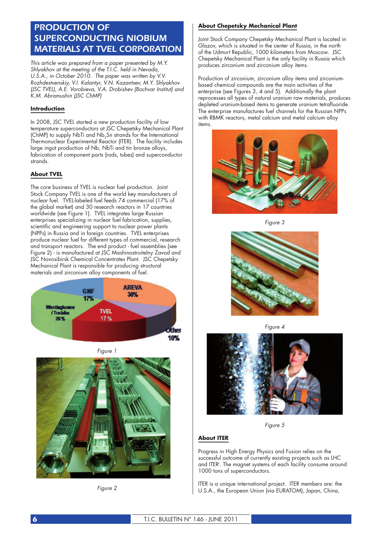# *PRODUCTION OF SUPERCONDUCTING NIOBIUM MATERIALS AT TVEL CORPORATION*

This article was prepared from a paper presented by M.Y. Shlyakhov at the meeting of the T.I.C. held in Nevada, U.S.A., in October 2010. The paper was written by V.V. Rozhdestvenskiy, V.I. Kalantyr, V.N. Kazantsev, M.Y. Shlyakhov (JSC TVEL), A.E. Vorobieva, V.A. Drobishev (Bochvar Institut) and K.M. Abramushin (JSC ChMP)

## **Introduction**

In 2008, JSC TVEL started a new production facility of low temperature superconductors at JSC Chepetsky Mechanical Plant (ChMP) to supply NbTi and Nb<sub>3</sub>Sn strands for the International Thermonuclear Experimental Reactor (ITER). The facility includes large ingot production of Nb, NbTi and tin bronze alloys, fabrication of component parts (rods, tubes) and superconductor strands.

## **About TVEL**

The core business of TVEL is nuclear fuel production. Joint Stock Company TVEL is one of the world key manufacturers of nuclear fuel. TVEL-labeled fuel feeds 74 commercial (17% of the global market) and 30 research reactors in 17 countries worldwide (see Figure 1). TVEL integrates large Russian enterprises specializing in nuclear fuel fabrication, supplies, scientific and engineering support to nuclear power plants (NPPs) in Russia and in foreign countries. TVEL enterprises produce nuclear fuel for different types of commercial, research and transport reactors. The end product - fuel assemblies (see Figure 2) - is manufactured at JSC Mashinostroitelny Zavod and JSC Novosibirsk Chemical Concentrates Plant. JSC Chepetsky Mechanical Plant is responsible for producing structural materials and zirconium alloy components of fuel.



Figure 1



Figure 2

## **About Chepetsky Mechanical Plant**

Joint Stock Company Chepetsky Mechanical Plant is located in Glazov, which is situated in the center of Russia, in the north of the Udmurt Republic, 1000 kilometers from Moscow. JSC Chepetsky Mechanical Plant is the only facility in Russia which produces zirconium and zirconium alloy items.

Production of zirconium, zirconium alloy items and zirconiumbased chemical compounds are the main activities of the enterprise (see Figures 3, 4 and 5). Additionally the plant reprocesses all types of natural uranium raw materials, produces depleted uranium-based items to generate uranium tetrafluoride. The enterprise manufactures fuel channels for the Russian NPPs with RBMK reactors, metal calcium and metal calcium alloy items.



Figure 3



Figure 4



Figure 5

## **About ITER**

Progress in High Energy Physics and Fusion relies on the successful outcome of currently existing projects such as LHC and ITERi . The magnet systems of each facility consume around 1000 tons of superconductors.

ITER is a unique international project. ITER members are: the U.S.A., the European Union (via EURATOM), Japan, China,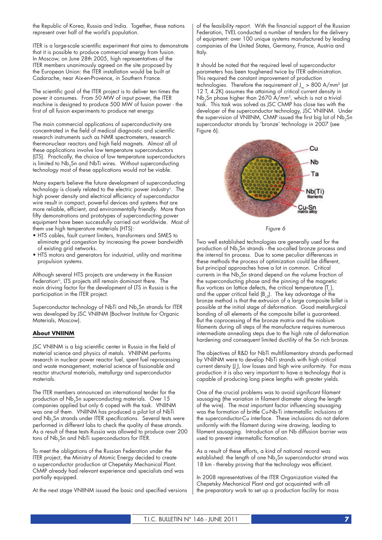the Republic of Korea, Russia and India. Together, these nations represent over half of the world's population.

ITER is a large-scale scientific experiment that aims to demonstrate that it is possible to produce commercial energy from fusion. In Moscow, on June 28th 2005, high representatives of the ITER members unanimously agreed on the site proposed by the European Union: the ITER installation would be built at Cadarache, near Aix-en-Provence, in Southern France.

The scientific goal of the ITER project is to deliver ten times the power it consumes. From 50 MW of input power, the ITER machine is designed to produce 500 MW of fusion power - the first of all fusion experiments to produce net energy.

The main commercial applications of superconductivity are concentrated in the field of medical diagnostic and scientific research instruments such as NMR spectrometers, research thermonuclear reactors and high field magnets. Almost all of these applications involve low temperature superconductors (LTS). Practically, the choice of low temperature superconductors is limited to  $Nb<sub>3</sub>Sn$  and NbTi wires. Without superconducting technology most of these applications would not be viable.

Many experts believe the future development of superconducting technology is closely related to the electric power industryii. The high power density and electrical efficiency of superconductor wire result in compact, powerful devices and systems that are more reliable, efficient, and environmentally friendly. More than fifty demonstrations and prototypes of superconducting power equipment have been successfully carried out worldwide. Most of them use high temperature materials (HTS):

- HTS cables, fault current limiters, transformers and SMES to eliminate grid congestion by increasing the power bandwidth of existing grid networks.
- HTS motors and generators for industrial, utility and maritime propulsion systems.

Although several HTS projects are underway in the Russian Federation<sup>iii</sup>, LTS projects still remain dominant there. The main driving factor for the development of LTS in Russia is the participation in the ITER project.

Superconductor technology of NbTi and Nb<sub>3</sub>Sn strands for ITER was developed by JSC VNIINM (Bochvar Institute for Organic Materials, Moscow).

## **About VNIINM**

JSC VNIINM is a big scientific center in Russia in the field of material science and physics of metals. VNIINM performs research in nuclear power reactor fuel, spent fuel reprocessing and waste management, material science of fissionable and reactor structural materials, metallurgy and superconductor materials.

The ITER members announced an international tender for the production of  $Nb<sub>3</sub>Sn$  superconducting materials. Over 15 companies applied but only 6 coped with the task. VNIINM was one of them. VNIINM has produced a pilot lot of NbTi and Nb<sub>3</sub>Sn strands under ITER specifications. Several tests were performed in different labs to check the quality of these strands. As a result of these tests Russia was allowed to produce over 200 tons of Nb<sub>3</sub>Sn and NbTi superconductors for ITER.

To meet the obligations of the Russian Federation under the ITER project, the Ministry of Atomic Energy decided to create a superconductor production at Chepetsky Mechanical Plant. ChMP already had relevant experience and specialists and was partially equipped.

At the next stage VNIINM issued the basic and specified versions

of the feasibility report. With the financial support of the Russian Federation, TVEL conducted a number of tenders for the delivery of equipment: over 100 unique systems manufactured by leading companies of the United States, Germany, France, Austria and Italy.

It should be noted that the required level of superconductor parameters has been toughened twice by ITER administration. This required the constant improvement of production technologies. Therefore the requirement of  $J_{nc} > 800$  A/mm<sup>2</sup> (at 12 T, 4.2K) assumes the attaining of critical current density in  $Nb<sub>3</sub>Sn$  phase higher than 2670 A/mm<sup>2</sup>, which is not a trivial task. This task was solved as JSC ChMP has close ties with the developer of the superconductor technology, JSC VNIINM. Under the supervision of VNIINM, ChMP issued the first big lot of Nb<sub>3</sub>Sn superconductor strands by 'bronze' technology in 2007 (see Figure 6).



Figure 6

Two well established technologies are generally used for the production of Nb<sub>3</sub>Sn strands - the so-called bronze process and the internal tin process. Due to some peculiar differences in these methods the process of optimization could be different, but principal approaches have a lot in common. Critical currents in the Nb<sub>2</sub>Sn strand depend on the volume fraction of the superconducting phase and the pinning of the magnetic flux vortices on lattice defects, the critical temperature  $(T_c)$ , and the upper critical field  $(B_{c2})$ . The key advantage of the bronze method is that the extrusion of a large composite billet is possible at the initial stage of deformation. Good metallurgical bonding of all elements of the composite billet is guaranteed. But the coprocessing of the bronze matrix and the niobium filaments during all steps of the manufacture requires numerous intermediate annealing steps due to the high rate of deformation hardening and consequent limited ductility of the Sn rich bronze.

The objectives of R&D for NbTi multifilamentary strands performed by VNIINM were to develop NbTi strands with high critical current density  $\downarrow$ , low losses and high wire uniformity. For mass production it is also very important to have a technology that is capable of producing long piece lengths with greater yields.

One of the crucial problems was to avoid significant filament sausaging (the variation in filament diameter along the length of the wire). The most important factor influencing sausaging was the formation of brittle Cu-Nb-Ti intermetallic inclusions at the superconductor-Cu interface. These inclusions do not deform uniformly with the filament during wire drawing, leading to filament sausaging. Introduction of an Nb diffusion barrier was used to prevent intermetallic formation.

As a result of these efforts, a kind of national record was established: the length of one Nb<sub>3</sub>Sn superconductor strand was 18 km - thereby proving that the technology was efficient.

In 2008 representatives of the ITER Organization visited the Chepetsky Mechanical Plant and got acquainted with all the preparatory work to set up a production facility for mass